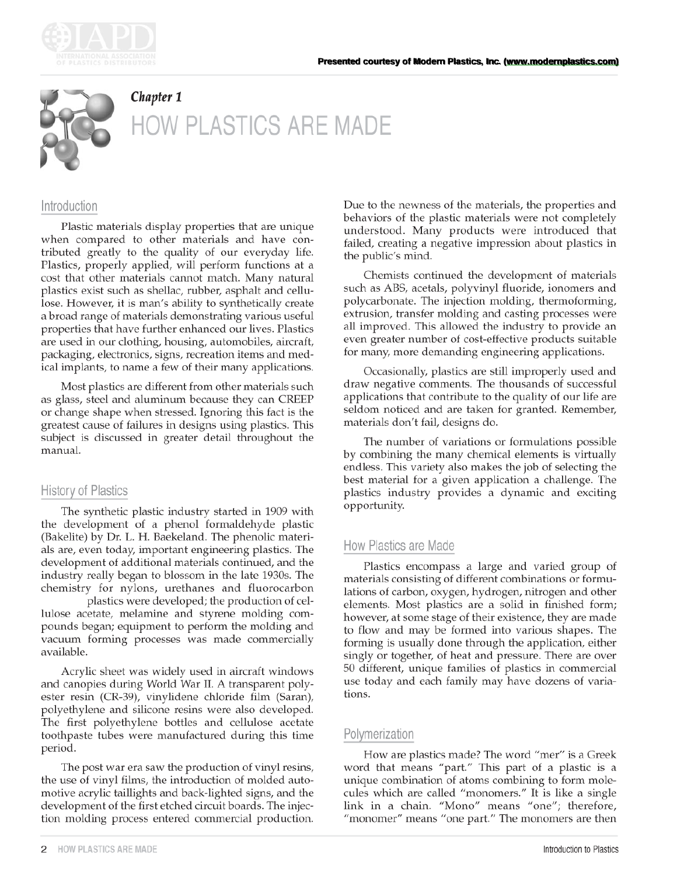



# Chapter 1 **HOW PLASTICS ARE MADE**

## Introduction

Plastic materials display properties that are unique when compared to other materials and have contributed greatly to the quality of our everyday life. Plastics, properly applied, will perform functions at a cost that other materials cannot match. Many natural plastics exist such as shellac, rubber, asphalt and cellulose. However, it is man's ability to synthetically create a broad range of materials demonstrating various useful properties that have further enhanced our lives. Plastics are used in our clothing, housing, automobiles, aircraft, packaging, electronics, signs, recreation items and medical implants, to name a few of their many applications.

Most plastics are different from other materials such as glass, steel and aluminum because they can CREEP or change shape when stressed. Ignoring this fact is the greatest cause of failures in designs using plastics. This subject is discussed in greater detail throughout the manual.

## **History of Plastics**

The synthetic plastic industry started in 1909 with the development of a phenol formaldehyde plastic (Bakelite) by Dr. L. H. Baekeland. The phenolic materials are, even today, important engineering plastics. The development of additional materials continued, and the industry really began to blossom in the late 1930s. The chemistry for nylons, urethanes and fluorocarbon

plastics were developed; the production of cellulose acetate, melamine and styrene molding compounds began; equipment to perform the molding and vacuum forming processes was made commercially available.

Acrylic sheet was widely used in aircraft windows and canopies during World War II. A transparent polyester resin (CR-39), vinylidene chloride film (Saran), polyethylene and silicone resins were also developed. The first polyethylene bottles and cellulose acetate toothpaste tubes were manufactured during this time period.

The post war era saw the production of vinyl resins, the use of vinyl films, the introduction of molded automotive acrylic taillights and back-lighted signs, and the development of the first etched circuit boards. The injection molding process entered commercial production.

Due to the newness of the materials, the properties and behaviors of the plastic materials were not completely understood. Many products were introduced that failed, creating a negative impression about plastics in the public's mind.

Chemists continued the development of materials such as ABS, acetals, polyvinyl fluoride, ionomers and polycarbonate. The injection molding, thermoforming, extrusion, transfer molding and casting processes were all improved. This allowed the industry to provide an even greater number of cost-effective products suitable for many, more demanding engineering applications.

Occasionally, plastics are still improperly used and draw negative comments. The thousands of successful applications that contribute to the quality of our life are seldom noticed and are taken for granted. Remember, materials don't fail, designs do.

The number of variations or formulations possible by combining the many chemical elements is virtually endless. This variety also makes the job of selecting the best material for a given application a challenge. The plastics industry provides a dynamic and exciting opportunity.

# How Plastics are Made

Plastics encompass a large and varied group of materials consisting of different combinations or formulations of carbon, oxygen, hydrogen, nitrogen and other elements. Most plastics are a solid in finished form; however, at some stage of their existence, they are made to flow and may be formed into various shapes. The forming is usually done through the application, either singly or together, of heat and pressure. There are over 50 different, unique families of plastics in commercial use today and each family may have dozens of variations.

## Polymerization

How are plastics made? The word "mer" is a Greek word that means "part." This part of a plastic is a unique combination of atoms combining to form molecules which are called "monomers." It is like a single link in a chain. "Mono" means "one"; therefore, "monomer" means "one part." The monomers are then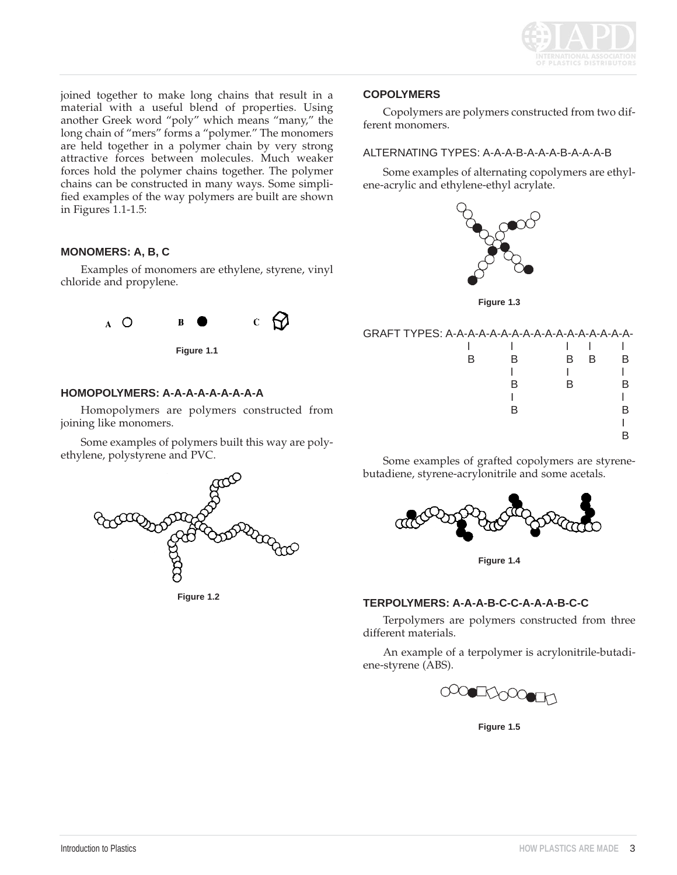

joined together to make long chains that result in a material with a useful blend of properties. Using another Greek word "poly" which means "many," the long chain of "mers" forms a "polymer." The monomers are held together in a polymer chain by very strong attractive forces between molecules. Much weaker forces hold the polymer chains together. The polymer chains can be constructed in many ways. Some simplified examples of the way polymers are built are shown in Figures 1.1-1.5:

## **MONOMERS: A, B, C**

Examples of monomers are ethylene, styrene, vinyl chloride and propylene.





## **HOMOPOLYMERS: A-A-A-A-A-A-A-A-A**

Homopolymers are polymers constructed from joining like monomers.

Some examples of polymers built this way are polyethylene, polystyrene and PVC.



**Figure 1.2**

#### **COPOLYMERS**

Copolymers are polymers constructed from two different monomers.

## ALTERNATING TYPES: A-A-A-B-A-A-A-B-A-A-A-B

Some examples of alternating copolymers are ethylene-acrylic and ethylene-ethyl acrylate.



**Figure 1.3**

GRAFT TYPES: A-A-A-A-A-A-A-A-A-A-A-A-A-A-A-A-A-



Some examples of grafted copolymers are styrenebutadiene, styrene-acrylonitrile and some acetals.



**Figure 1.4**

#### **TERPOLYMERS: A-A-A-B-C-C-A-A-A-B-C-C**

Terpolymers are polymers constructed from three different materials.

An example of a terpolymer is acrylonitrile-butadiene-styrene (ABS).



**Figure 1.5**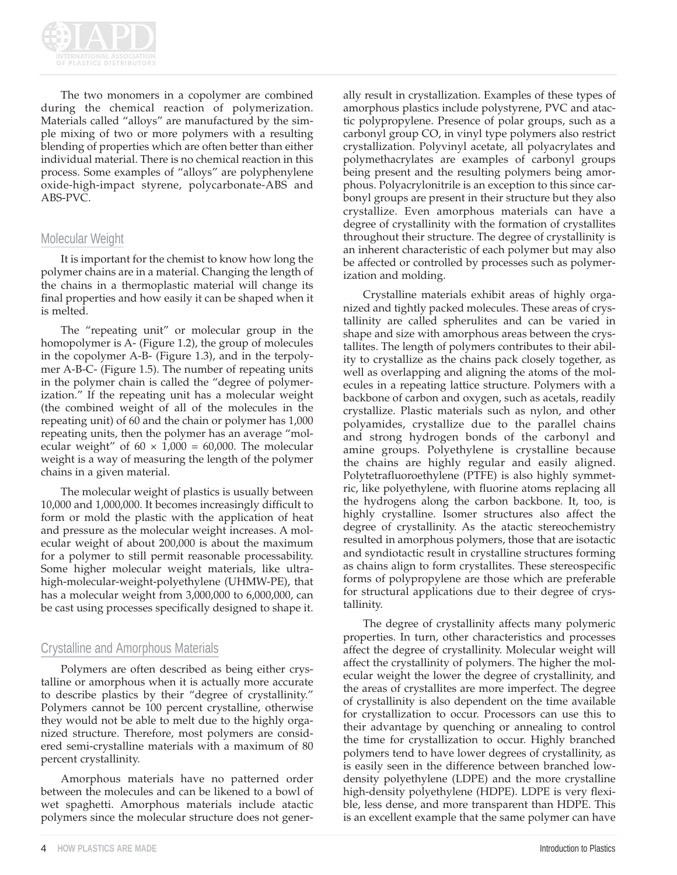

The two monomers in a copolymer are combined during the chemical reaction of polymerization. Materials called "alloys" are manufactured by the simple mixing of two or more polymers with a resulting blending of properties which are often better than either individual material. There is no chemical reaction in this process. Some examples of "alloys" are polyphenylene oxide-high-impact styrene, polycarbonate-ABS and ABS-PVC.

## Molecular Weight

It is important for the chemist to know how long the polymer chains are in a material. Changing the length of the chains in a thermoplastic material will change its final properties and how easily it can be shaped when it is melted.

The "repeating unit" or molecular group in the homopolymer is A- (Figure 1.2), the group of molecules in the copolymer A-B- (Figure 1.3), and in the terpolymer A-B-C- (Figure 1.5). The number of repeating units in the polymer chain is called the "degree of polymerization." If the repeating unit has a molecular weight (the combined weight of all of the molecules in the repeating unit) of 60 and the chain or polymer has 1,000 repeating units, then the polymer has an average "molecular weight" of  $60 \times 1,000 = 60,000$ . The molecular weight is a way of measuring the length of the polymer chains in a given material.

The molecular weight of plastics is usually between 10,000 and 1,000,000. It becomes increasingly difficult to form or mold the plastic with the application of heat and pressure as the molecular weight increases. A molecular weight of about 200,000 is about the maximum for a polymer to still permit reasonable processability. Some higher molecular weight materials, like ultrahigh-molecular-weight-polyethylene (UHMW-PE), that has a molecular weight from 3,000,000 to 6,000,000, can be cast using processes specifically designed to shape it.

# Crystalline and Amorphous Materials

Polymers are often described as being either crystalline or amorphous when it is actually more accurate to describe plastics by their "degree of crystallinity." Polymers cannot be 100 percent crystalline, otherwise they would not be able to melt due to the highly organized structure. Therefore, most polymers are considered semi-crystalline materials with a maximum of 80 percent crystallinity.

Amorphous materials have no patterned order between the molecules and can be likened to a bowl of wet spaghetti. Amorphous materials include atactic polymers since the molecular structure does not generally result in crystallization. Examples of these types of amorphous plastics include polystyrene, PVC and atactic polypropylene. Presence of polar groups, such as a carbonyl group CO, in vinyl type polymers also restrict crystallization. Polyvinyl acetate, all polyacrylates and polymethacrylates are examples of carbonyl groups being present and the resulting polymers being amorphous. Polyacrylonitrile is an exception to this since carbonyl groups are present in their structure but they also crystallize. Even amorphous materials can have a degree of crystallinity with the formation of crystallites throughout their structure. The degree of crystallinity is an inherent characteristic of each polymer but may also be affected or controlled by processes such as polymerization and molding.

Crystalline materials exhibit areas of highly organized and tightly packed molecules. These areas of crystallinity are called spherulites and can be varied in shape and size with amorphous areas between the crystallites. The length of polymers contributes to their ability to crystallize as the chains pack closely together, as well as overlapping and aligning the atoms of the molecules in a repeating lattice structure. Polymers with a backbone of carbon and oxygen, such as acetals, readily crystallize. Plastic materials such as nylon, and other polyamides, crystallize due to the parallel chains and strong hydrogen bonds of the carbonyl and amine groups. Polyethylene is crystalline because the chains are highly regular and easily aligned. Polytetrafluoroethylene (PTFE) is also highly symmetric, like polyethylene, with fluorine atoms replacing all the hydrogens along the carbon backbone. It, too, is highly crystalline. Isomer structures also affect the degree of crystallinity. As the atactic stereochemistry resulted in amorphous polymers, those that are isotactic and syndiotactic result in crystalline structures forming as chains align to form crystallites. These stereospecific forms of polypropylene are those which are preferable for structural applications due to their degree of crystallinity.

The degree of crystallinity affects many polymeric properties. In turn, other characteristics and processes affect the degree of crystallinity. Molecular weight will affect the crystallinity of polymers. The higher the molecular weight the lower the degree of crystallinity, and the areas of crystallites are more imperfect. The degree of crystallinity is also dependent on the time available for crystallization to occur. Processors can use this to their advantage by quenching or annealing to control the time for crystallization to occur. Highly branched polymers tend to have lower degrees of crystallinity, as is easily seen in the difference between branched lowdensity polyethylene (LDPE) and the more crystalline high-density polyethylene (HDPE). LDPE is very flexible, less dense, and more transparent than HDPE. This is an excellent example that the same polymer can have